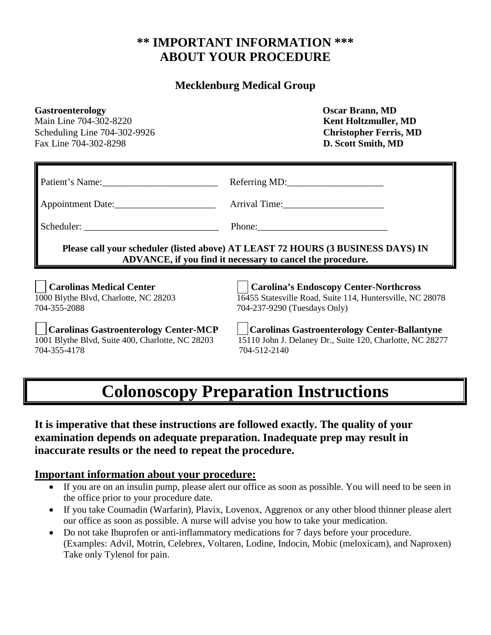# **\*\* IMPORTANT INFORMATION \*\*\* ABOUT YOUR PROCEDURE**

#### **Mecklenburg Medical Group**

| <b>Gastroenterology</b><br>Main Line 704-302-8220<br>Scheduling Line 704-302-9926<br>Fax Line 704-302-8298                                     | <b>Oscar Brann, MD</b><br><b>Kent Holtzmuller, MD</b><br><b>Christopher Ferris, MD</b><br>D. Scott Smith, MD                                                                                                                   |
|------------------------------------------------------------------------------------------------------------------------------------------------|--------------------------------------------------------------------------------------------------------------------------------------------------------------------------------------------------------------------------------|
| Patient's Name:                                                                                                                                | Referring MD:                                                                                                                                                                                                                  |
| Appointment Date:                                                                                                                              | Arrival Time: 1990 March 2014                                                                                                                                                                                                  |
|                                                                                                                                                | Phone: 2008 Phone: 2008 Phone: 2008 Phone: 2008 Phone: 2008 Phone: 2008 Phone: 2008 Phone: 2008 Phone: 2008 Phone: 2008 Phone: 2008 Phone: 2008 Phone: 2008 Phone: 2008 Phone: 2008 Phone: 2008 Phone: 2008 Phone: 2008 Phone: |
| Please call your scheduler (listed above) AT LEAST 72 HOURS (3 BUSINESS DAYS) IN<br>ADVANCE, if you find it necessary to cancel the procedure. |                                                                                                                                                                                                                                |
| <b>Carolinas Medical Center</b><br>1000 Blythe Blvd, Charlotte, NC 28203<br>704-355-2088                                                       | <b>Carolina's Endoscopy Center-Northcross</b><br>16455 Statesville Road, Suite 114, Huntersville, NC 28078<br>704-237-9290 (Tuesdays Only)                                                                                     |
| <b>Carolinas Gastroenterology Center-MCP</b><br>1001 Blythe Blvd, Suite 400, Charlotte, NC 28203<br>704-355-4178                               | <b>Carolinas Gastroenterology Center-Ballantyne</b><br>15110 John J. Delaney Dr., Suite 120, Charlotte, NC 28277<br>704-512-2140                                                                                               |

# **Colonoscopy Preparation Instructions**

**It is imperative that these instructions are followed exactly. The quality of your examination depends on adequate preparation. Inadequate prep may result in inaccurate results or the need to repeat the procedure.**

#### **Important information about your procedure:**

- If you are on an insulin pump, please alert our office as soon as possible. You will need to be seen in the office prior to your procedure date.
- If you take Coumadin (Warfarin), Plavix, Lovenox, Aggrenox or any other blood thinner please alert our office as soon as possible. A nurse will advise you how to take your medication.
- Do not take Ibuprofen or anti-inflammatory medications for 7 days before your procedure. (Examples: Advil, Motrin, Celebrex, Voltaren, Lodine, Indocin, Mobic (meloxicam), and Naproxen) Take only Tylenol for pain.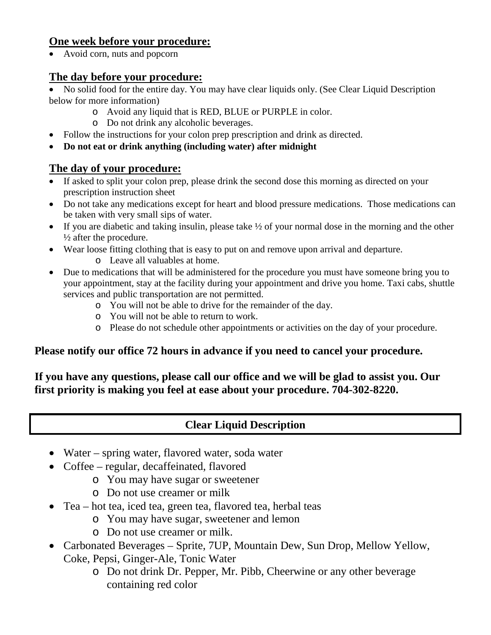#### **One week before your procedure:**

• Avoid corn, nuts and popcorn

### **The day before your procedure:**

• No solid food for the entire day. You may have clear liquids only. (See Clear Liquid Description below for more information)

- o Avoid any liquid that is RED, BLUE or PURPLE in color.
- o Do not drink any alcoholic beverages.
- Follow the instructions for your colon prep prescription and drink as directed.
- **Do not eat or drink anything (including water) after midnight**

## **The day of your procedure:**

- If asked to split your colon prep, please drink the second dose this morning as directed on your prescription instruction sheet
- Do not take any medications except for heart and blood pressure medications. Those medications can be taken with very small sips of water.
- If you are diabetic and taking insulin, please take  $\frac{1}{2}$  of your normal dose in the morning and the other ½ after the procedure.
- Wear loose fitting clothing that is easy to put on and remove upon arrival and departure.
	- o Leave all valuables at home.
- Due to medications that will be administered for the procedure you must have someone bring you to your appointment, stay at the facility during your appointment and drive you home. Taxi cabs, shuttle services and public transportation are not permitted.
	- o You will not be able to drive for the remainder of the day.
	- o You will not be able to return to work.
	- o Please do not schedule other appointments or activities on the day of your procedure.

## **Please notify our office 72 hours in advance if you need to cancel your procedure.**

### **If you have any questions, please call our office and we will be glad to assist you. Our first priority is making you feel at ease about your procedure. 704-302-8220.**

# **Clear Liquid Description**

- Water spring water, flavored water, soda water
- Coffee regular, decaffeinated, flavored
	- o You may have sugar or sweetener
	- o Do not use creamer or milk
- Tea hot tea, iced tea, green tea, flavored tea, herbal teas
	- o You may have sugar, sweetener and lemon
	- o Do not use creamer or milk.
- Carbonated Beverages Sprite, 7UP, Mountain Dew, Sun Drop, Mellow Yellow, Coke, Pepsi, Ginger-Ale, Tonic Water
	- o Do not drink Dr. Pepper, Mr. Pibb, Cheerwine or any other beverage containing red color